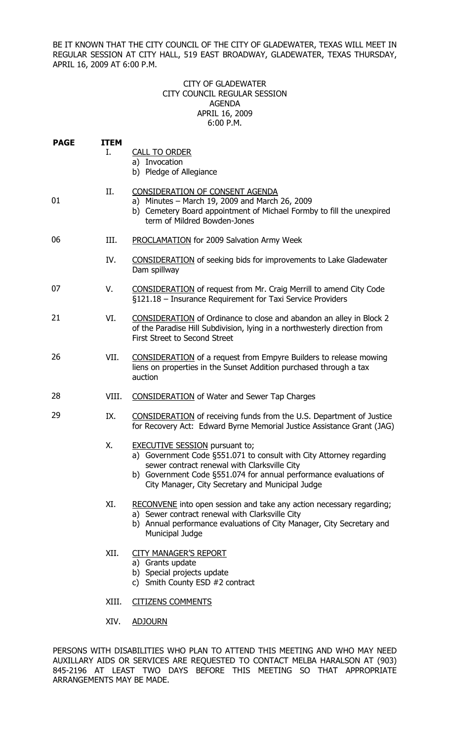BE IT KNOWN THAT THE CITY COUNCIL OF THE CITY OF GLADEWATER, TEXAS WILL MEET IN REGULAR SESSION AT CITY HALL, 519 EAST BROADWAY, GLADEWATER, TEXAS THURSDAY, APRIL 16, 2009 AT 6:00 P.M.

## CITY OF GLADEWATER CITY COUNCIL REGULAR SESSION AGENDA APRIL 16, 2009 6:00 P.M.

| <b>PAGE</b> | <b>ITEM</b><br>Ι. | <b>CALL TO ORDER</b><br>a) Invocation<br>b) Pledge of Allegiance                                                                                                                                                                                                                      |
|-------------|-------------------|---------------------------------------------------------------------------------------------------------------------------------------------------------------------------------------------------------------------------------------------------------------------------------------|
| 01          | Π.                | CONSIDERATION OF CONSENT AGENDA<br>a) Minutes - March 19, 2009 and March 26, 2009<br>b) Cemetery Board appointment of Michael Formby to fill the unexpired<br>term of Mildred Bowden-Jones                                                                                            |
| 06          | III.              | <b>PROCLAMATION</b> for 2009 Salvation Army Week                                                                                                                                                                                                                                      |
|             | IV.               | <b>CONSIDERATION</b> of seeking bids for improvements to Lake Gladewater<br>Dam spillway                                                                                                                                                                                              |
| 07          | V.                | <b>CONSIDERATION</b> of request from Mr. Craig Merrill to amend City Code<br>§121.18 - Insurance Requirement for Taxi Service Providers                                                                                                                                               |
| 21          | VI.               | <b>CONSIDERATION</b> of Ordinance to close and abandon an alley in Block 2<br>of the Paradise Hill Subdivision, lying in a northwesterly direction from<br>First Street to Second Street                                                                                              |
| 26          | VII.              | <b>CONSIDERATION</b> of a request from Empyre Builders to release mowing<br>liens on properties in the Sunset Addition purchased through a tax<br>auction                                                                                                                             |
| 28          | VIII.             | <b>CONSIDERATION</b> of Water and Sewer Tap Charges                                                                                                                                                                                                                                   |
| 29          | IX.               | <b>CONSIDERATION</b> of receiving funds from the U.S. Department of Justice<br>for Recovery Act: Edward Byrne Memorial Justice Assistance Grant (JAG)                                                                                                                                 |
|             | Χ.                | <b>EXECUTIVE SESSION</b> pursuant to;<br>a) Government Code §551.071 to consult with City Attorney regarding<br>sewer contract renewal with Clarksville City<br>b) Government Code §551.074 for annual performance evaluations of<br>City Manager, City Secretary and Municipal Judge |
|             | XI.               | RECONVENE into open session and take any action necessary regarding;<br>a) Sewer contract renewal with Clarksville City<br>b) Annual performance evaluations of City Manager, City Secretary and<br>Municipal Judge                                                                   |
|             | XII.              | <b>CITY MANAGER'S REPORT</b><br>a) Grants update<br>b) Special projects update<br>c) Smith County ESD #2 contract                                                                                                                                                                     |
|             | XIII.             | <b>CITIZENS COMMENTS</b>                                                                                                                                                                                                                                                              |

XIV. ADJOURN

PERSONS WITH DISABILITIES WHO PLAN TO ATTEND THIS MEETING AND WHO MAY NEED AUXILLARY AIDS OR SERVICES ARE REQUESTED TO CONTACT MELBA HARALSON AT (903) 845-2196 AT LEAST TWO DAYS BEFORE THIS MEETING SO THAT APPROPRIATE ARRANGEMENTS MAY BE MADE.